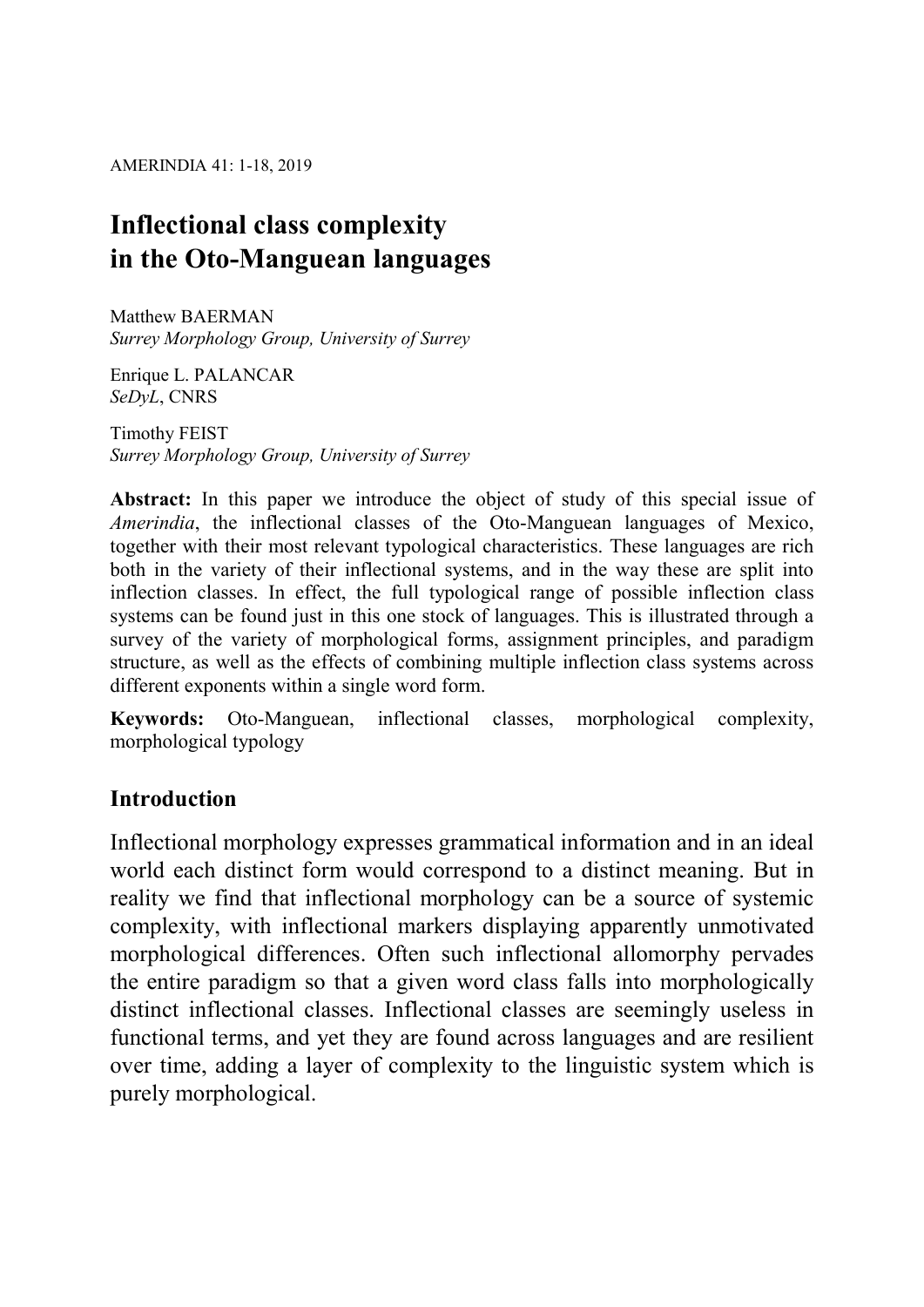AMERINDIA 41: 1-18, 2019

# Inflectional class complexity in the Oto-Manguean languages

Matthew BAERMAN Surrey Morphology Group, University of Surrey

Enrique L. PALANCAR SeDyL, CNRS

Timothy FEIST Surrey Morphology Group, University of Surrey

Abstract: In this paper we introduce the object of study of this special issue of Amerindia, the inflectional classes of the Oto-Manguean languages of Mexico, together with their most relevant typological characteristics. These languages are rich both in the variety of their inflectional systems, and in the way these are split into inflection classes. In effect, the full typological range of possible inflection class systems can be found just in this one stock of languages. This is illustrated through a survey of the variety of morphological forms, assignment principles, and paradigm structure, as well as the effects of combining multiple inflection class systems across different exponents within a single word form.

Keywords: Oto-Manguean, inflectional classes, morphological complexity, morphological typology

# Introduction

Inflectional morphology expresses grammatical information and in an ideal world each distinct form would correspond to a distinct meaning. But in reality we find that inflectional morphology can be a source of systemic complexity, with inflectional markers displaying apparently unmotivated morphological differences. Often such inflectional allomorphy pervades the entire paradigm so that a given word class falls into morphologically distinct inflectional classes. Inflectional classes are seemingly useless in functional terms, and yet they are found across languages and are resilient over time, adding a layer of complexity to the linguistic system which is purely morphological.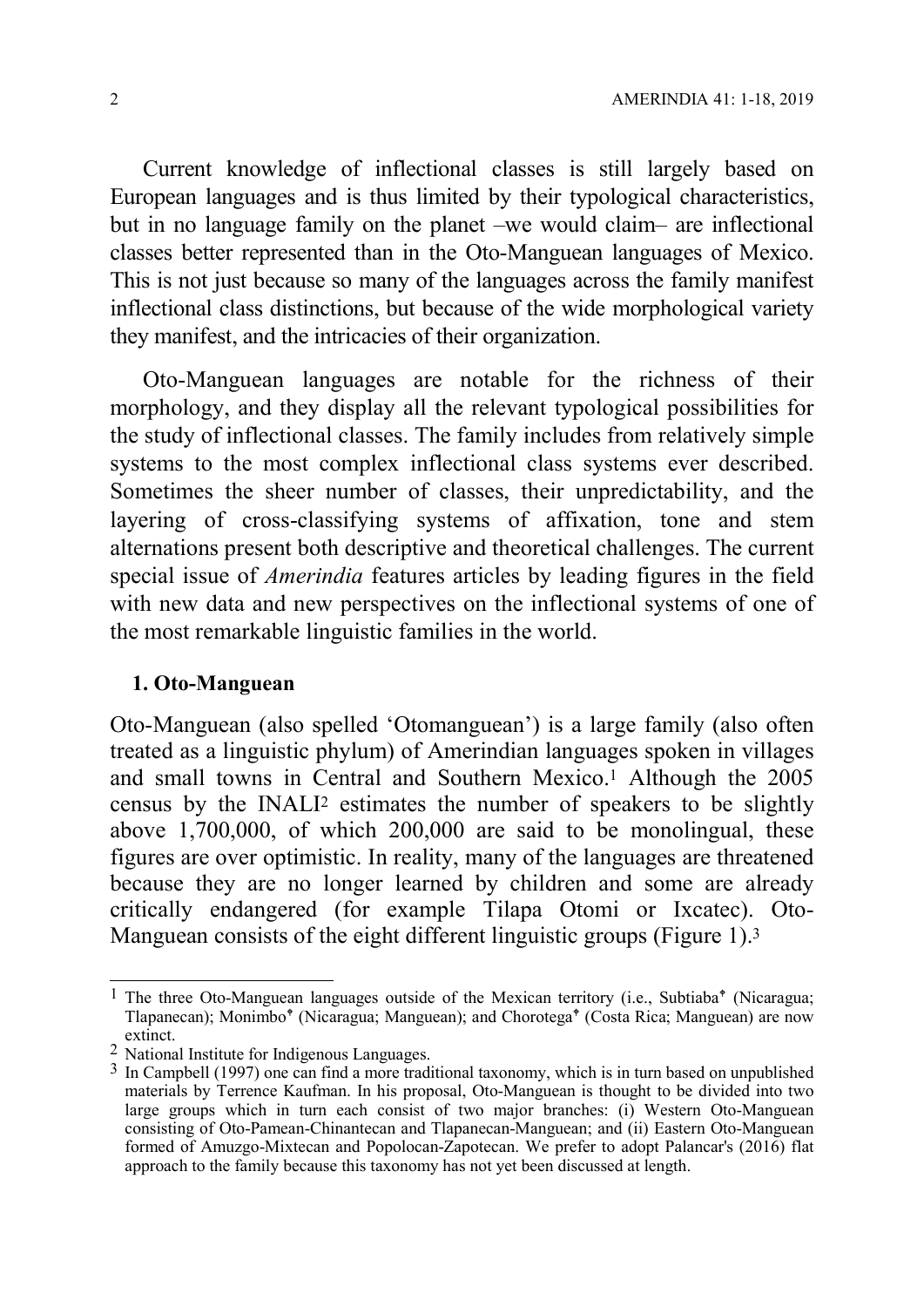Current knowledge of inflectional classes is still largely based on European languages and is thus limited by their typological characteristics, but in no language family on the planet –we would claim– are inflectional classes better represented than in the Oto-Manguean languages of Mexico. This is not just because so many of the languages across the family manifest inflectional class distinctions, but because of the wide morphological variety they manifest, and the intricacies of their organization.

Oto-Manguean languages are notable for the richness of their morphology, and they display all the relevant typological possibilities for the study of inflectional classes. The family includes from relatively simple systems to the most complex inflectional class systems ever described. Sometimes the sheer number of classes, their unpredictability, and the layering of cross-classifying systems of affixation, tone and stem alternations present both descriptive and theoretical challenges. The current special issue of Amerindia features articles by leading figures in the field with new data and new perspectives on the inflectional systems of one of the most remarkable linguistic families in the world.

## 1. Oto-Manguean

Oto-Manguean (also spelled 'Otomanguean') is a large family (also often treated as a linguistic phylum) of Amerindian languages spoken in villages and small towns in Central and Southern Mexico.1 Although the 2005 census by the INALI2 estimates the number of speakers to be slightly above 1,700,000, of which 200,000 are said to be monolingual, these figures are over optimistic. In reality, many of the languages are threatened because they are no longer learned by children and some are already critically endangered (for example Tilapa Otomi or Ixcatec). Oto-Manguean consists of the eight different linguistic groups (Figure 1).<sup>3</sup>

 $\overline{1}$ <sup>1</sup> The three Oto-Manguean languages outside of the Mexican territory (i.e., Subtiaba<sup>\*</sup> (Nicaragua; Tlapanecan); Monimbo<sup>†</sup> (Nicaragua; Manguean); and Chorotega<sup>†</sup> (Costa Rica; Manguean) are now extinct.

<sup>2</sup> National Institute for Indigenous Languages.

<sup>3</sup> In Campbell (1997) one can find a more traditional taxonomy, which is in turn based on unpublished materials by Terrence Kaufman. In his proposal, Oto-Manguean is thought to be divided into two large groups which in turn each consist of two major branches: (i) Western Oto-Manguean consisting of Oto-Pamean-Chinantecan and Tlapanecan-Manguean; and (ii) Eastern Oto-Manguean formed of Amuzgo-Mixtecan and Popolocan-Zapotecan. We prefer to adopt Palancar's (2016) flat approach to the family because this taxonomy has not yet been discussed at length.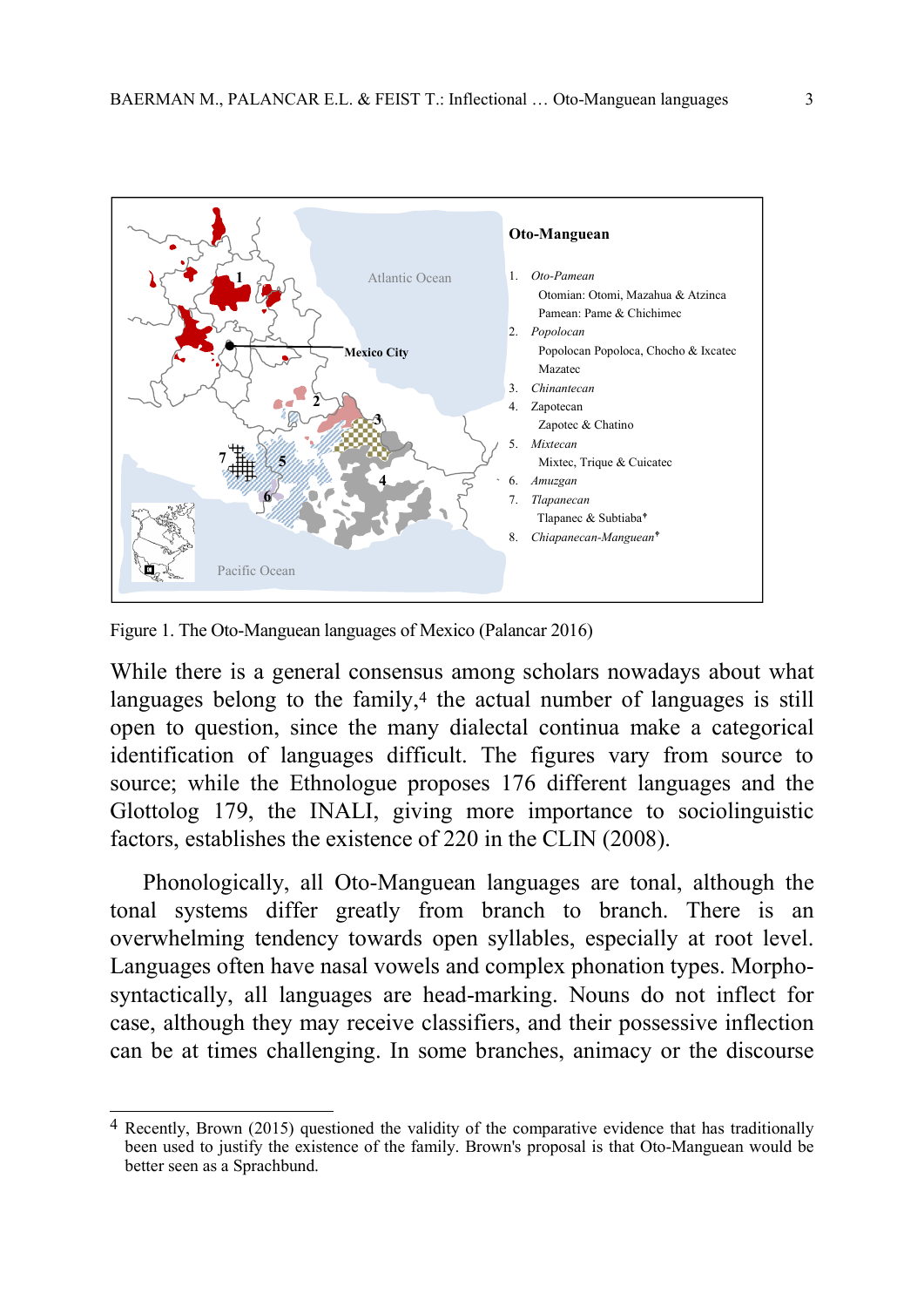

Figure 1. The Oto-Manguean languages of Mexico (Palancar 2016)

 $\overline{a}$ 

While there is a general consensus among scholars nowadays about what languages belong to the family,<sup>4</sup> the actual number of languages is still open to question, since the many dialectal continua make a categorical identification of languages difficult. The figures vary from source to source; while the Ethnologue proposes 176 different languages and the Glottolog 179, the INALI, giving more importance to sociolinguistic factors, establishes the existence of 220 in the CLIN (2008).

Phonologically, all Oto-Manguean languages are tonal, although the tonal systems differ greatly from branch to branch. There is an overwhelming tendency towards open syllables, especially at root level. Languages often have nasal vowels and complex phonation types. Morphosyntactically, all languages are head-marking. Nouns do not inflect for case, although they may receive classifiers, and their possessive inflection can be at times challenging. In some branches, animacy or the discourse

<sup>4</sup> Recently, Brown (2015) questioned the validity of the comparative evidence that has traditionally been used to justify the existence of the family. Brown's proposal is that Oto-Manguean would be better seen as a Sprachbund.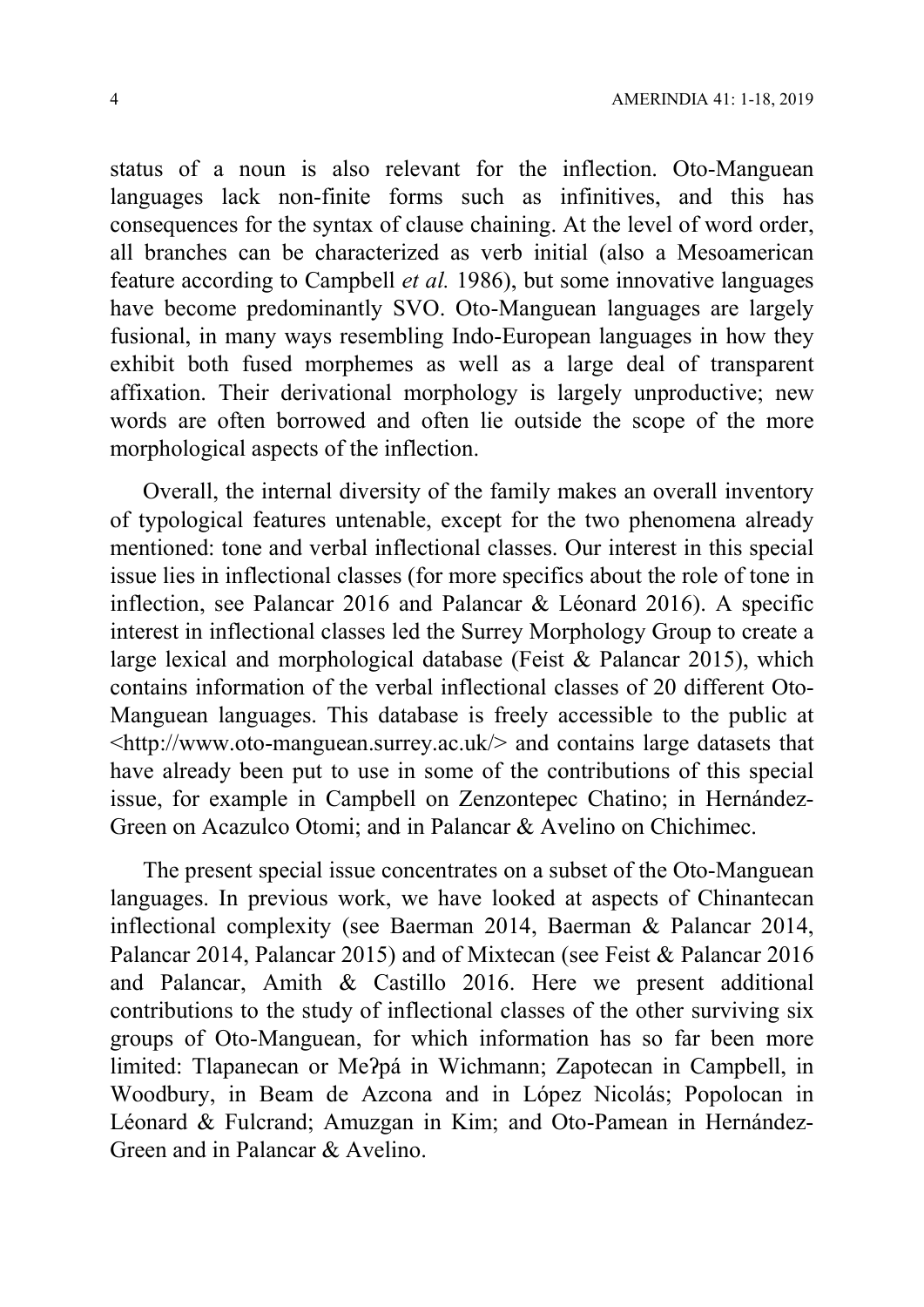status of a noun is also relevant for the inflection. Oto-Manguean languages lack non-finite forms such as infinitives, and this has consequences for the syntax of clause chaining. At the level of word order, all branches can be characterized as verb initial (also a Mesoamerican feature according to Campbell et al. 1986), but some innovative languages have become predominantly SVO. Oto-Manguean languages are largely fusional, in many ways resembling Indo-European languages in how they exhibit both fused morphemes as well as a large deal of transparent affixation. Their derivational morphology is largely unproductive; new words are often borrowed and often lie outside the scope of the more morphological aspects of the inflection.

Overall, the internal diversity of the family makes an overall inventory of typological features untenable, except for the two phenomena already mentioned: tone and verbal inflectional classes. Our interest in this special issue lies in inflectional classes (for more specifics about the role of tone in inflection, see Palancar 2016 and Palancar & Léonard 2016). A specific interest in inflectional classes led the Surrey Morphology Group to create a large lexical and morphological database (Feist & Palancar 2015), which contains information of the verbal inflectional classes of 20 different Oto-Manguean languages. This database is freely accessible to the public at <http://www.oto-manguean.surrey.ac.uk/> and contains large datasets that have already been put to use in some of the contributions of this special issue, for example in Campbell on Zenzontepec Chatino; in Hernández-Green on Acazulco Otomi; and in Palancar & Avelino on Chichimec.

The present special issue concentrates on a subset of the Oto-Manguean languages. In previous work, we have looked at aspects of Chinantecan inflectional complexity (see Baerman 2014, Baerman & Palancar 2014, Palancar 2014, Palancar 2015) and of Mixtecan (see Feist & Palancar 2016 and Palancar, Amith & Castillo 2016. Here we present additional contributions to the study of inflectional classes of the other surviving six groups of Oto-Manguean, for which information has so far been more limited: Tlapanecan or Meʔpá in Wichmann; Zapotecan in Campbell, in Woodbury, in Beam de Azcona and in López Nicolás; Popolocan in Léonard & Fulcrand; Amuzgan in Kim; and Oto-Pamean in Hernández-Green and in Palancar & Avelino.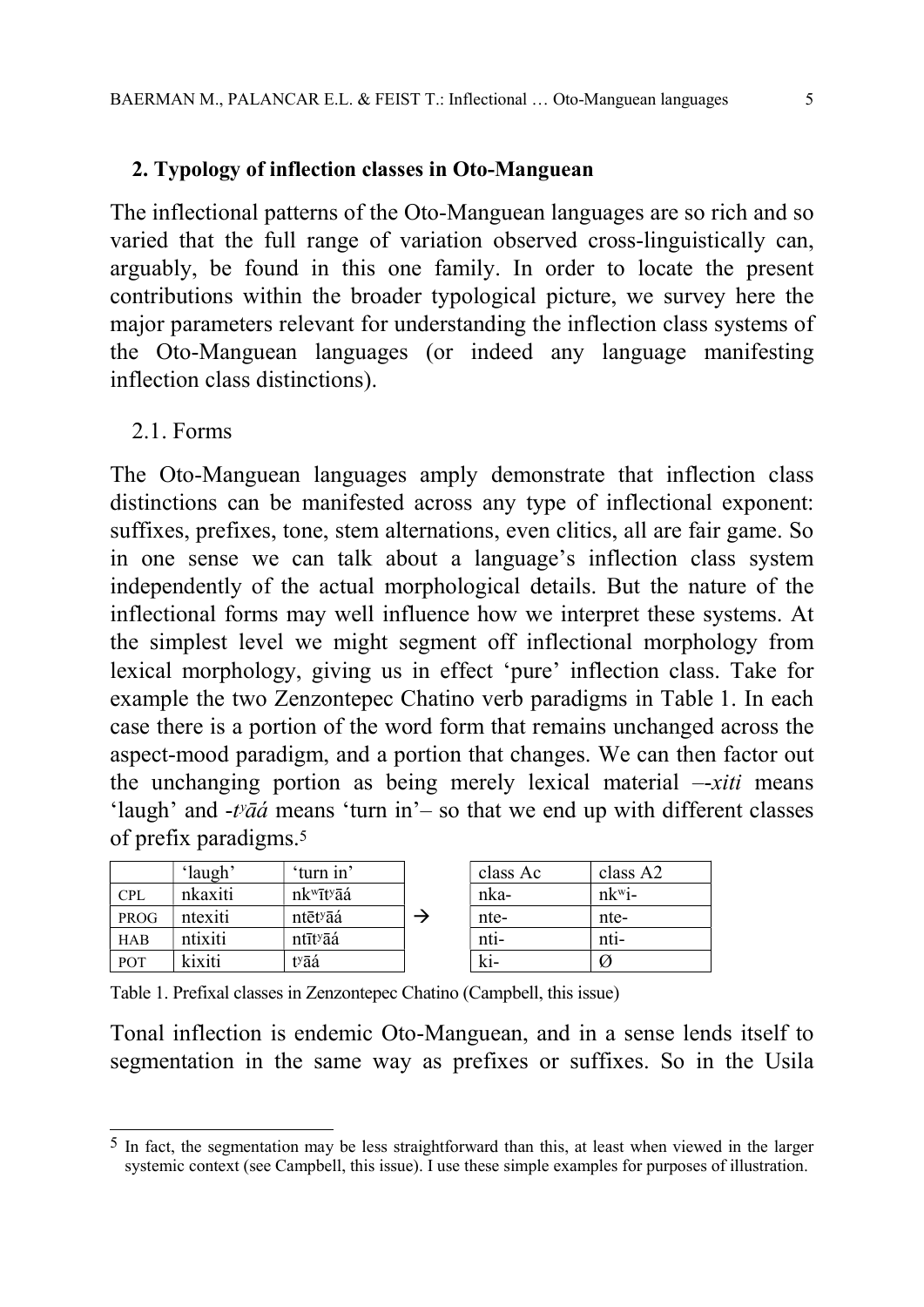#### 2. Typology of inflection classes in Oto-Manguean

The inflectional patterns of the Oto-Manguean languages are so rich and so varied that the full range of variation observed cross-linguistically can, arguably, be found in this one family. In order to locate the present contributions within the broader typological picture, we survey here the major parameters relevant for understanding the inflection class systems of the Oto-Manguean languages (or indeed any language manifesting inflection class distinctions).

### 2.1. Forms

The Oto-Manguean languages amply demonstrate that inflection class distinctions can be manifested across any type of inflectional exponent: suffixes, prefixes, tone, stem alternations, even clitics, all are fair game. So in one sense we can talk about a language's inflection class system independently of the actual morphological details. But the nature of the inflectional forms may well influence how we interpret these systems. At the simplest level we might segment off inflectional morphology from lexical morphology, giving us in effect 'pure' inflection class. Take for example the two Zenzontepec Chatino verb paradigms in Table 1. In each case there is a portion of the word form that remains unchanged across the aspect-mood paradigm, and a portion that changes. We can then factor out the unchanging portion as being merely lexical material –-xiti means 'laugh' and  $-t\nu\bar{a}\acute{a}$  means 'turn in'- so that we end up with different classes of prefix paradigms.<sup>5</sup>

|            | 'laugh' | 'turn in'                          | class Ac | class A2             |
|------------|---------|------------------------------------|----------|----------------------|
| <b>CPL</b> | nkaxiti | nk <sup>w</sup> īt <sup>y</sup> āá | nka-     | $nk^{\mathrm{w}}$ i- |
| PROG       | ntexiti | ntēt <sup>y</sup> āá               | nte-     | nte-                 |
| <b>HAB</b> | ntixiti | ntīt <sup>y</sup> āá               | $nti-$   | nti-                 |
| <b>POT</b> | kixiti  | t <sup>y</sup> āá                  | ki-      |                      |

| class Ac | class A2      |
|----------|---------------|
| nka-     | $nk^{\rm wi}$ |
| nte-     | nte-          |
| nti-     | nti-          |
| ki-      |               |

Table 1. Prefixal classes in Zenzontepec Chatino (Campbell, this issue)

Tonal inflection is endemic Oto-Manguean, and in a sense lends itself to segmentation in the same way as prefixes or suffixes. So in the Usila

<sup>-</sup>5 In fact, the segmentation may be less straightforward than this, at least when viewed in the larger systemic context (see Campbell, this issue). I use these simple examples for purposes of illustration.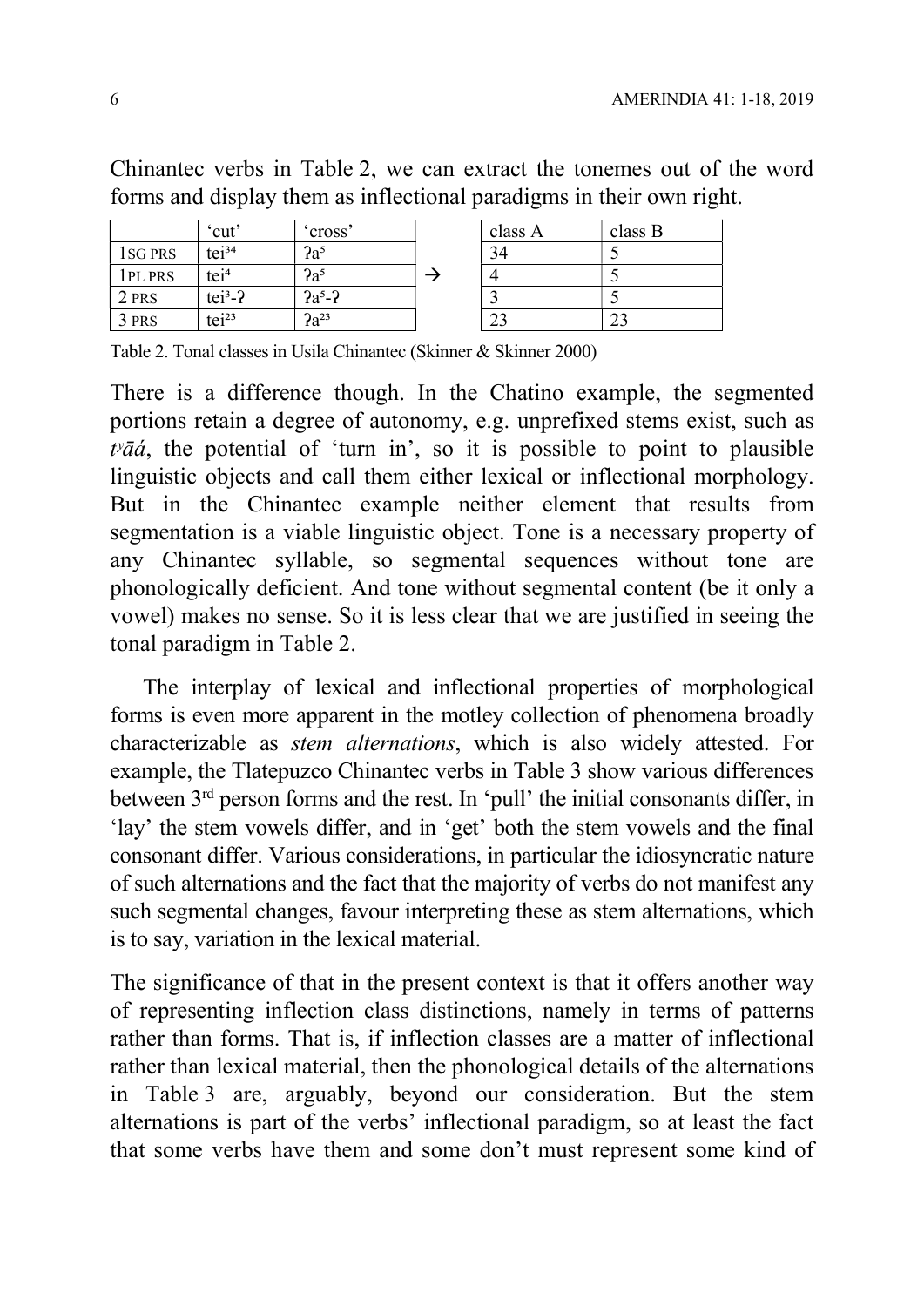Chinantec verbs in Table 2, we can extract the tonemes out of the word forms and display them as inflectional paradigms in their own right.

|                      | 'cut'             | 'cross'   | class A | class B |
|----------------------|-------------------|-----------|---------|---------|
| 1 <sub>s</sub> G PRS | tei <sup>34</sup> | $2a^5$    |         |         |
| 1PL PRS              | tei <sup>4</sup>  | $2a^5$    |         |         |
| 2 PRS                | $tei3-?$          | $2a^5-2$  |         |         |
| 3 PRS                | tei <sup>23</sup> | $2a^{23}$ | ر ب     | ل کے    |

Table 2. Tonal classes in Usila Chinantec (Skinner & Skinner 2000)

There is a difference though. In the Chatino example, the segmented portions retain a degree of autonomy, e.g. unprefixed stems exist, such as  $t\nu\bar{a}\acute{a}$ , the potential of 'turn in', so it is possible to point to plausible linguistic objects and call them either lexical or inflectional morphology. But in the Chinantec example neither element that results from segmentation is a viable linguistic object. Tone is a necessary property of any Chinantec syllable, so segmental sequences without tone are phonologically deficient. And tone without segmental content (be it only a vowel) makes no sense. So it is less clear that we are justified in seeing the tonal paradigm in Table 2.

The interplay of lexical and inflectional properties of morphological forms is even more apparent in the motley collection of phenomena broadly characterizable as stem alternations, which is also widely attested. For example, the Tlatepuzco Chinantec verbs in Table 3 show various differences between 3rd person forms and the rest. In 'pull' the initial consonants differ, in 'lay' the stem vowels differ, and in 'get' both the stem vowels and the final consonant differ. Various considerations, in particular the idiosyncratic nature of such alternations and the fact that the majority of verbs do not manifest any such segmental changes, favour interpreting these as stem alternations, which is to say, variation in the lexical material.

The significance of that in the present context is that it offers another way of representing inflection class distinctions, namely in terms of patterns rather than forms. That is, if inflection classes are a matter of inflectional rather than lexical material, then the phonological details of the alternations in Table 3 are, arguably, beyond our consideration. But the stem alternations is part of the verbs' inflectional paradigm, so at least the fact that some verbs have them and some don't must represent some kind of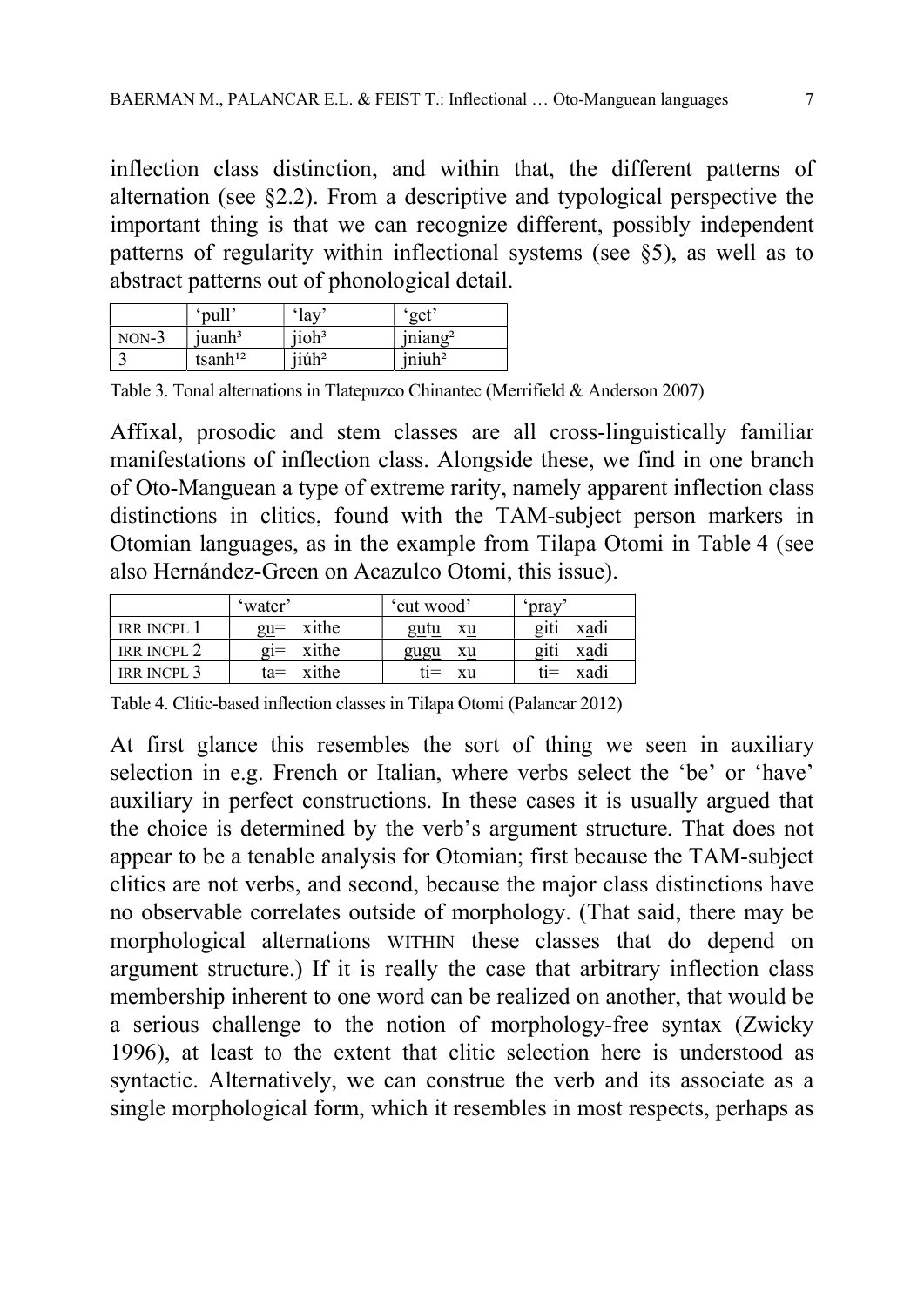inflection class distinction, and within that, the different patterns of alternation (see §2.2). From a descriptive and typological perspective the important thing is that we can recognize different, possibly independent patterns of regularity within inflectional systems (see §5), as well as to abstract patterns out of phonological detail.

|         | 'pull'              | 'lay                 | get                |
|---------|---------------------|----------------------|--------------------|
| $NON-3$ | juanh <sup>3</sup>  | jioh <sup>3</sup>    | $\text{iniang}^2$  |
|         | tsanh <sup>12</sup> | $i$ iúh <sup>2</sup> | iniuh <sup>2</sup> |

Table 3. Tonal alternations in Tlatepuzco Chinantec (Merrifield & Anderson 2007)

Affixal, prosodic and stem classes are all cross-linguistically familiar manifestations of inflection class. Alongside these, we find in one branch of Oto-Manguean a type of extreme rarity, namely apparent inflection class distinctions in clitics, found with the TAM-subject person markers in Otomian languages, as in the example from Tilapa Otomi in Table 4 (see also Hernández-Green on Acazulco Otomi, this issue).

|                        | 'water            | 'cut wood' | 'pray        |
|------------------------|-------------------|------------|--------------|
| <b>IRR INCPL</b>       | $gu$ = xithe      | gutu<br>xu | xadi<br>21t1 |
| IRR INCPL <sub>2</sub> | $\overline{g}$ i= | xu         | xadi         |
|                        | xithe             | gugu       | giti         |
| IRR INCPL <sub>3</sub> | xithe             | fi $=$     | xadi         |
|                        | ta=               | xu         | $t_1 =$      |

Table 4. Clitic-based inflection classes in Tilapa Otomi (Palancar 2012)

At first glance this resembles the sort of thing we seen in auxiliary selection in e.g. French or Italian, where verbs select the 'be' or 'have' auxiliary in perfect constructions. In these cases it is usually argued that the choice is determined by the verb's argument structure. That does not appear to be a tenable analysis for Otomian; first because the TAM-subject clitics are not verbs, and second, because the major class distinctions have no observable correlates outside of morphology. (That said, there may be morphological alternations WITHIN these classes that do depend on argument structure.) If it is really the case that arbitrary inflection class membership inherent to one word can be realized on another, that would be a serious challenge to the notion of morphology-free syntax (Zwicky 1996), at least to the extent that clitic selection here is understood as syntactic. Alternatively, we can construe the verb and its associate as a single morphological form, which it resembles in most respects, perhaps as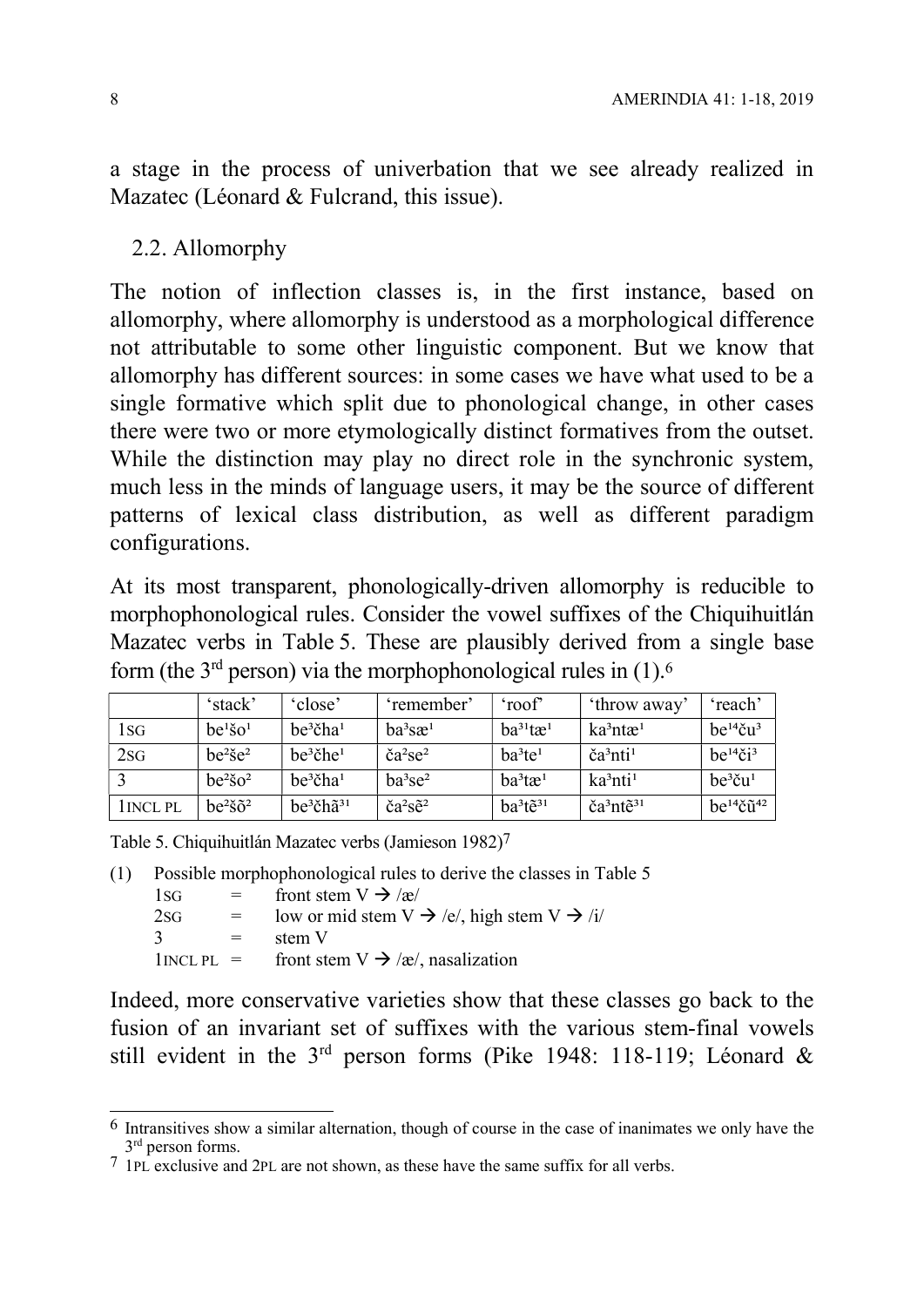a stage in the process of univerbation that we see already realized in Mazatec (Léonard & Fulcrand, this issue).

2.2. Allomorphy

The notion of inflection classes is, in the first instance, based on allomorphy, where allomorphy is understood as a morphological difference not attributable to some other linguistic component. But we know that allomorphy has different sources: in some cases we have what used to be a single formative which split due to phonological change, in other cases there were two or more etymologically distinct formatives from the outset. While the distinction may play no direct role in the synchronic system, much less in the minds of language users, it may be the source of different patterns of lexical class distribution, as well as different paradigm configurations.

At its most transparent, phonologically-driven allomorphy is reducible to morphophonological rules. Consider the vowel suffixes of the Chiquihuitlán Mazatec verbs in Table 5. These are plausibly derived from a single base form (the  $3<sup>rd</sup>$  person) via the morphophonological rules in (1).<sup>6</sup>

|         | 'stack'                         | 'close'                 | 'remember'                                | 'roof'                  | 'throw away'                      | 'reach'                      |
|---------|---------------------------------|-------------------------|-------------------------------------------|-------------------------|-----------------------------------|------------------------------|
| 1sg     | $be1$ so <sup>1</sup>           | $be^3$ čha <sup>1</sup> | $ba^3$ sæ $1$                             | $ba^{31}t\mathbf{e}^1$  | $ka^3$ ntæ <sup>1</sup>           | $be^{14}$ ču <sup>3</sup>    |
| 2SG     | $he^2$ š $e^2$                  | $be^3$ čhe <sup>1</sup> | $\text{ča}^2$ se <sup>2</sup>             | $ba^3te^1$              | $\text{ča}^3$ nti <sup>1</sup>    | $be^{14}$ či <sup>3</sup>    |
|         | be <sup>2</sup> so <sup>2</sup> | $be^3$ čha <sup>1</sup> | $ba^3se^2$                                | $ba^3t\mathcal{R}^1$    | $ka^3$ nti <sup>1</sup>           | $be^3$ ču <sup>1</sup>       |
| INCL PL | $be^2 \tilde{g} \tilde{g}^2$    | $be^3$ čhã $31$         | $\text{ča}^2 \text{S} \tilde{\text{e}}^2$ | $ha^{3}t\tilde{e}^{31}$ | $\text{c}a^3$ nt $\tilde{e}^{31}$ | $be^{14}$ č $\tilde{u}^{42}$ |

Table 5. Chiquihuitlán Mazatec verbs (Jamieson 1982)7

(1) Possible morphophonological rules to derive the classes in Table 5  $1\text{SG}$  = front stem  $V \rightarrow \frac{1}{\text{Re}}$ 2sG  $=$  low or mid stem  $V \rightarrow /e/$ , high stem  $V \rightarrow /i/$ 

| 2SG | low or mid stem $V \rightarrow e/$ , high s |  |
|-----|---------------------------------------------|--|
|     | stem V                                      |  |

1INCL PL = front stem  $V \rightarrow \alpha/$ , nasalization

Indeed, more conservative varieties show that these classes go back to the fusion of an invariant set of suffixes with the various stem-final vowels still evident in the 3rd person forms (Pike 1948: 118-119; Léonard &

 $\overline{a}$  $6$  Intransitives show a similar alternation, though of course in the case of inanimates we only have the 3<sup>rd</sup> person forms.

<sup>7</sup> 1PL exclusive and 2PL are not shown, as these have the same suffix for all verbs.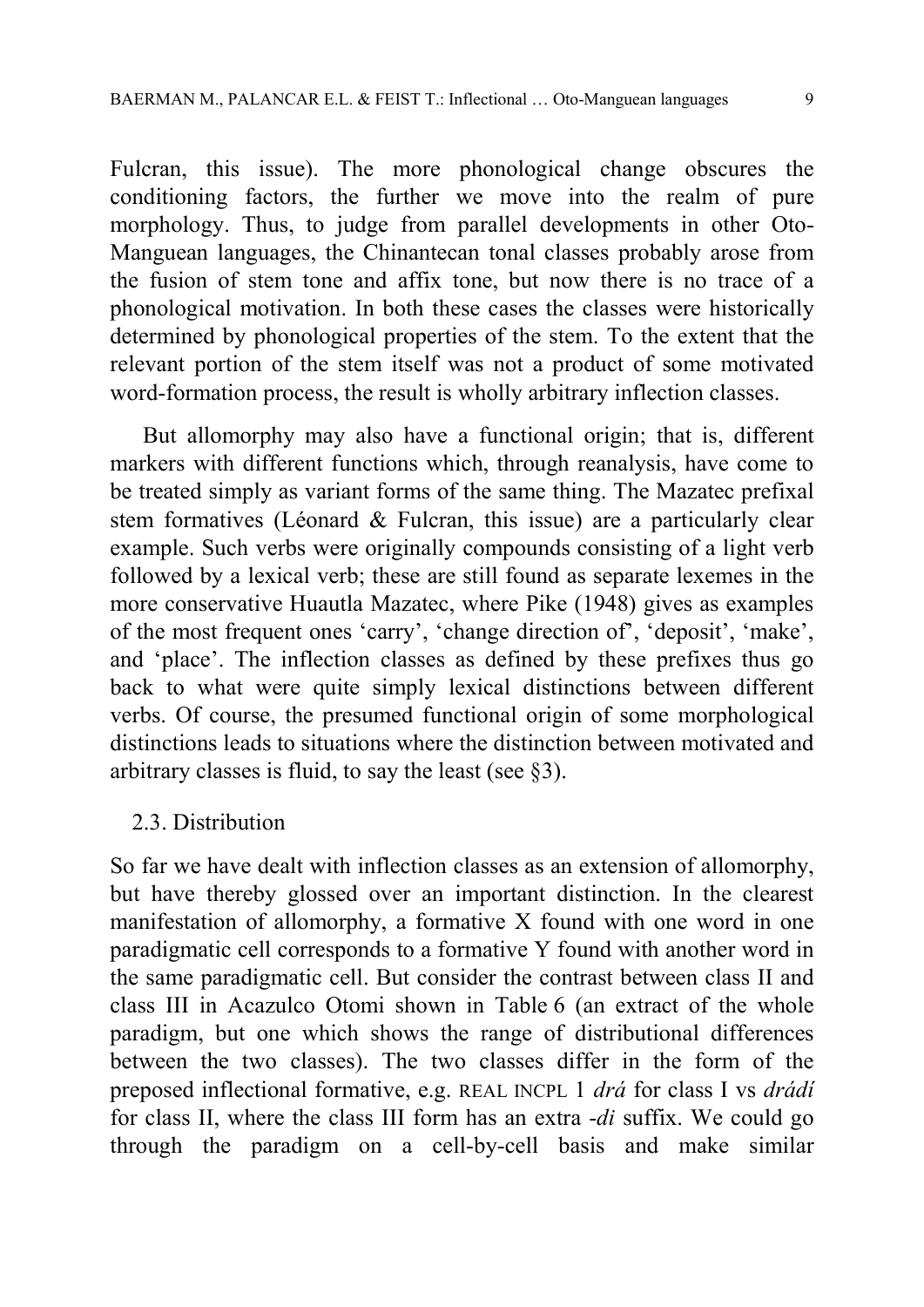Fulcran, this issue). The more phonological change obscures the conditioning factors, the further we move into the realm of pure morphology. Thus, to judge from parallel developments in other Oto-Manguean languages, the Chinantecan tonal classes probably arose from the fusion of stem tone and affix tone, but now there is no trace of a phonological motivation. In both these cases the classes were historically determined by phonological properties of the stem. To the extent that the relevant portion of the stem itself was not a product of some motivated word-formation process, the result is wholly arbitrary inflection classes.

But allomorphy may also have a functional origin; that is, different markers with different functions which, through reanalysis, have come to be treated simply as variant forms of the same thing. The Mazatec prefixal stem formatives (Léonard & Fulcran, this issue) are a particularly clear example. Such verbs were originally compounds consisting of a light verb followed by a lexical verb; these are still found as separate lexemes in the more conservative Huautla Mazatec, where Pike (1948) gives as examples of the most frequent ones 'carry', 'change direction of', 'deposit', 'make', and 'place'. The inflection classes as defined by these prefixes thus go back to what were quite simply lexical distinctions between different verbs. Of course, the presumed functional origin of some morphological distinctions leads to situations where the distinction between motivated and arbitrary classes is fluid, to say the least (see §3).

## 2.3. Distribution

So far we have dealt with inflection classes as an extension of allomorphy, but have thereby glossed over an important distinction. In the clearest manifestation of allomorphy, a formative X found with one word in one paradigmatic cell corresponds to a formative Y found with another word in the same paradigmatic cell. But consider the contrast between class II and class III in Acazulco Otomi shown in Table 6 (an extract of the whole paradigm, but one which shows the range of distributional differences between the two classes). The two classes differ in the form of the preposed inflectional formative, e.g. REAL INCPL 1 drá for class I vs drádí for class II, where the class III form has an extra -di suffix. We could go through the paradigm on a cell-by-cell basis and make similar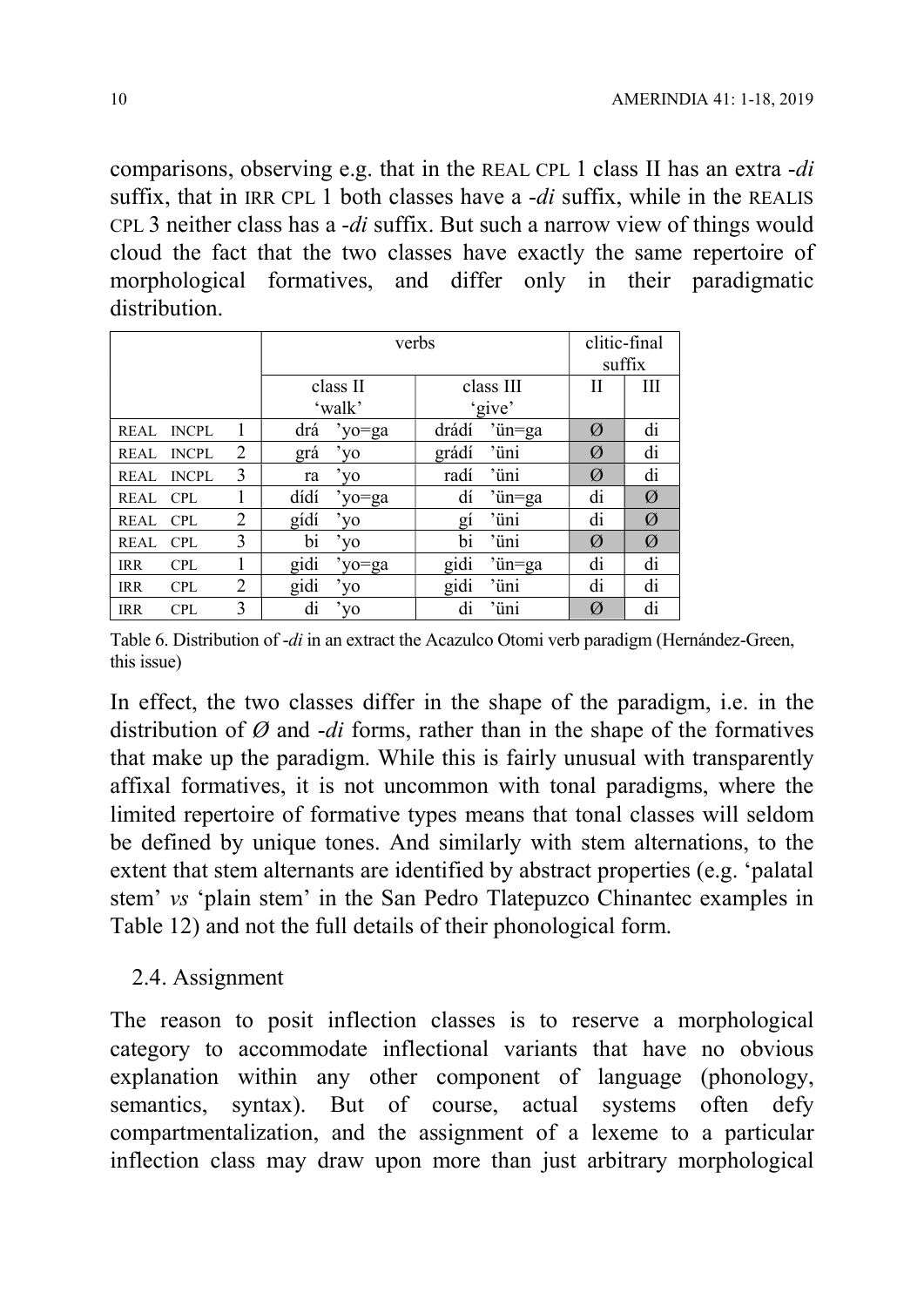comparisons, observing e.g. that in the REAL CPL 1 class II has an extra -di suffix, that in IRR CPL 1 both classes have a -di suffix, while in the REALIS CPL 3 neither class has a -di suffix. But such a narrow view of things would cloud the fact that the two classes have exactly the same repertoire of morphological formatives, and differ only in their paradigmatic distribution.

|             |              |   |      | verbs        |       |           |             |    |  |  |
|-------------|--------------|---|------|--------------|-------|-----------|-------------|----|--|--|
|             |              |   |      | class II     |       | class III | suffix<br>П | Ш  |  |  |
|             |              |   |      | 'walk'       |       | 'give'    |             |    |  |  |
| REAL        | <b>INCPL</b> |   | drá  | 'yo=ga       | drádí | 'ün=ga    | Ø           | di |  |  |
| REAL        | <b>INCPL</b> | 2 | grá  | 'yo          | grádí | 'üni      | Ø           | di |  |  |
| <b>REAL</b> | <b>INCPL</b> | 3 | ra   | 'yo          | radí  | 'üni      | Ø           | di |  |  |
| REAL CPL    |              |   | dídí | 'yo=ga       | dí    | 'ün=ga    | di          | Ø  |  |  |
| REAL CPL    |              | 2 | gídí | $v_{\rm V0}$ | $g_1$ | 'üni      | di          | Ø  |  |  |
| REAL        | <b>CPL</b>   | 3 | bi   | 'yo          | bi    | 'üni      | Ø           | Ø  |  |  |
| <b>IRR</b>  | <b>CPL</b>   | 1 | gidi | 'yo=ga       | gidi  | 'ün=ga    | di          | di |  |  |
| <b>IRR</b>  | <b>CPL</b>   | 2 | gidi | 'yo          | gidi  | 'üni      | di          | di |  |  |
| <b>IRR</b>  | <b>CPL</b>   | 3 | di   | 'yo          | di    | 'üni      | Ø           | di |  |  |

Table 6. Distribution of -di in an extract the Acazulco Otomi verb paradigm (Hernández-Green, this issue)

In effect, the two classes differ in the shape of the paradigm, i.e. in the distribution of  $\emptyset$  and *-di* forms, rather than in the shape of the formatives that make up the paradigm. While this is fairly unusual with transparently affixal formatives, it is not uncommon with tonal paradigms, where the limited repertoire of formative types means that tonal classes will seldom be defined by unique tones. And similarly with stem alternations, to the extent that stem alternants are identified by abstract properties (e.g. 'palatal stem' vs 'plain stem' in the San Pedro Tlatepuzco Chinantec examples in Table 12) and not the full details of their phonological form.

## 2.4. Assignment

The reason to posit inflection classes is to reserve a morphological category to accommodate inflectional variants that have no obvious explanation within any other component of language (phonology, semantics, syntax). But of course, actual systems often defy compartmentalization, and the assignment of a lexeme to a particular inflection class may draw upon more than just arbitrary morphological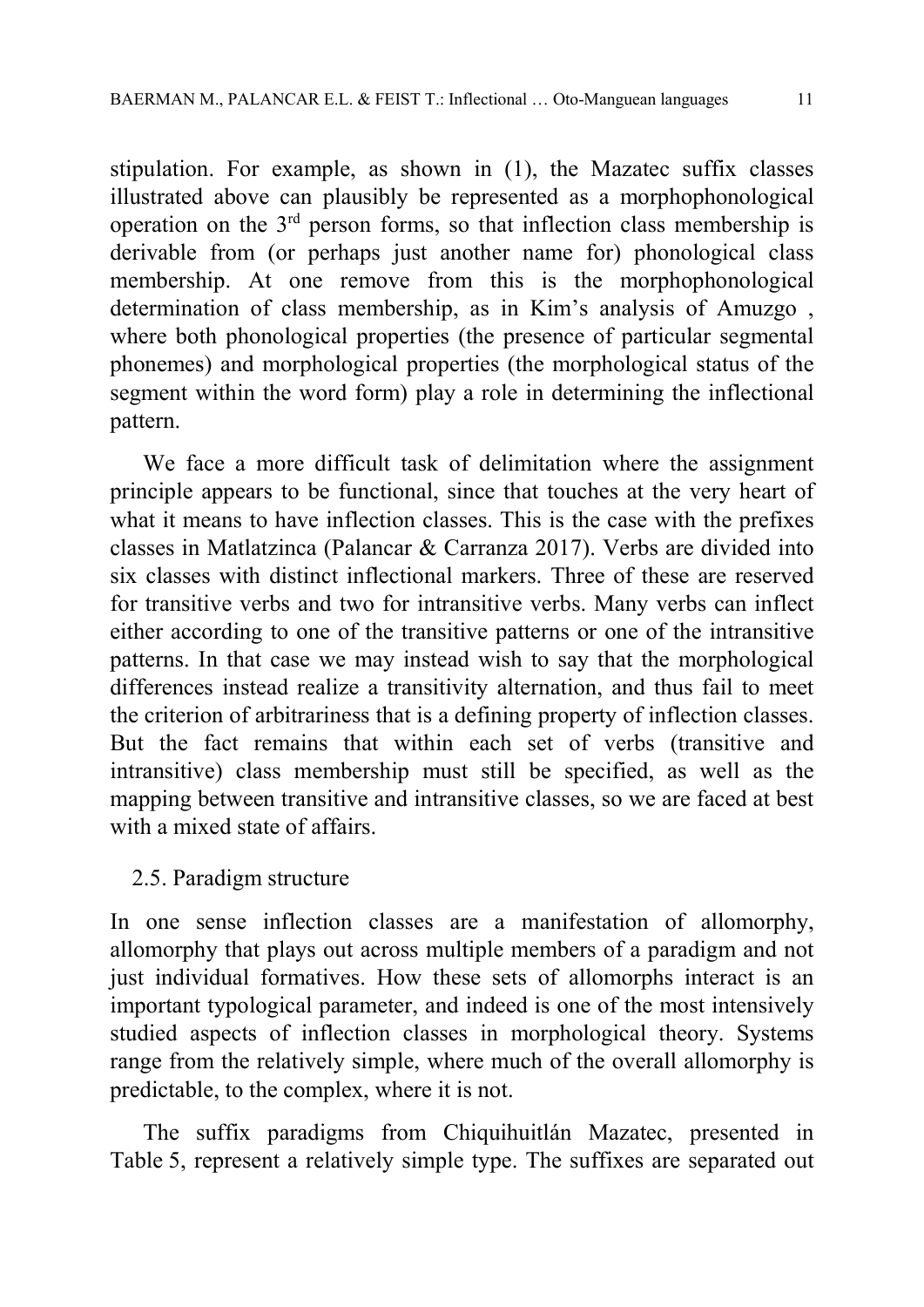stipulation. For example, as shown in (1), the Mazatec suffix classes illustrated above can plausibly be represented as a morphophonological operation on the  $3<sup>rd</sup>$  person forms, so that inflection class membership is derivable from (or perhaps just another name for) phonological class membership. At one remove from this is the morphophonological determination of class membership, as in Kim's analysis of Amuzgo , where both phonological properties (the presence of particular segmental phonemes) and morphological properties (the morphological status of the segment within the word form) play a role in determining the inflectional pattern.

We face a more difficult task of delimitation where the assignment principle appears to be functional, since that touches at the very heart of what it means to have inflection classes. This is the case with the prefixes classes in Matlatzinca (Palancar & Carranza 2017). Verbs are divided into six classes with distinct inflectional markers. Three of these are reserved for transitive verbs and two for intransitive verbs. Many verbs can inflect either according to one of the transitive patterns or one of the intransitive patterns. In that case we may instead wish to say that the morphological differences instead realize a transitivity alternation, and thus fail to meet the criterion of arbitrariness that is a defining property of inflection classes. But the fact remains that within each set of verbs (transitive and intransitive) class membership must still be specified, as well as the mapping between transitive and intransitive classes, so we are faced at best with a mixed state of affairs.

# 2.5. Paradigm structure

In one sense inflection classes are a manifestation of allomorphy, allomorphy that plays out across multiple members of a paradigm and not just individual formatives. How these sets of allomorphs interact is an important typological parameter, and indeed is one of the most intensively studied aspects of inflection classes in morphological theory. Systems range from the relatively simple, where much of the overall allomorphy is predictable, to the complex, where it is not.

The suffix paradigms from Chiquihuitlán Mazatec, presented in Table 5, represent a relatively simple type. The suffixes are separated out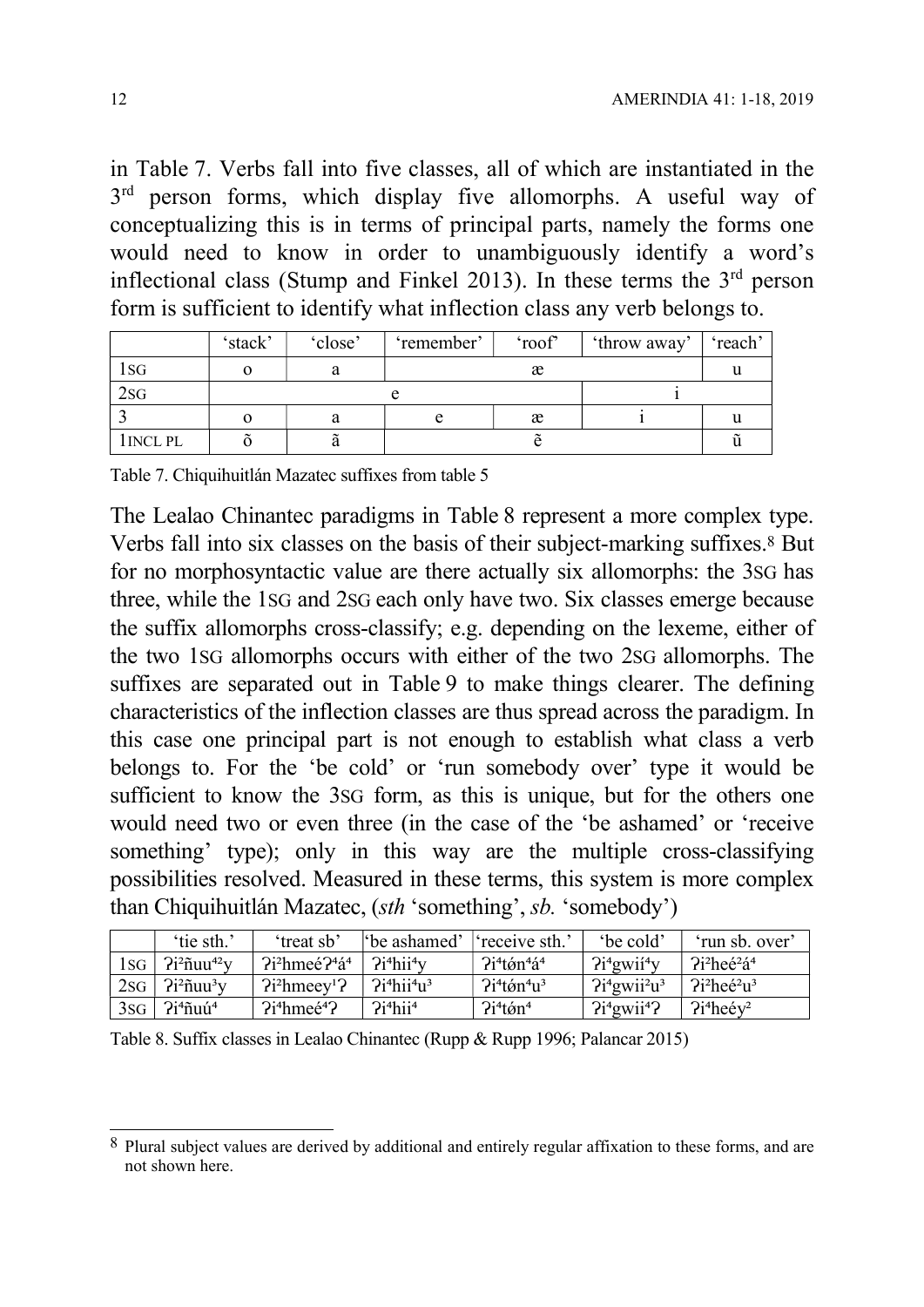in Table 7. Verbs fall into five classes, all of which are instantiated in the 3<sup>rd</sup> person forms, which display five allomorphs. A useful way of conceptualizing this is in terms of principal parts, namely the forms one would need to know in order to unambiguously identify a word's inflectional class (Stump and Finkel 2013). In these terms the  $3<sup>rd</sup>$  person form is sufficient to identify what inflection class any verb belongs to.

|           | 'stack' | 'close' | 'remember' | 'roof' | throw away' | 'reach' |
|-----------|---------|---------|------------|--------|-------------|---------|
| 1sg       |         | a       |            | æ      |             |         |
| 2sG       |         |         |            |        |             |         |
|           |         | а       |            | æ      |             |         |
| 1 INCL PL |         | u       |            |        |             |         |

Table 7. Chiquihuitlán Mazatec suffixes from table 5

The Lealao Chinantec paradigms in Table 8 represent a more complex type. Verbs fall into six classes on the basis of their subject-marking suffixes.8 But for no morphosyntactic value are there actually six allomorphs: the 3SG has three, while the 1SG and 2SG each only have two. Six classes emerge because the suffix allomorphs cross-classify; e.g. depending on the lexeme, either of the two 1SG allomorphs occurs with either of the two 2SG allomorphs. The suffixes are separated out in Table 9 to make things clearer. The defining characteristics of the inflection classes are thus spread across the paradigm. In this case one principal part is not enough to establish what class a verb belongs to. For the 'be cold' or 'run somebody over' type it would be sufficient to know the 3SG form, as this is unique, but for the others one would need two or even three (in the case of the 'be ashamed' or 'receive something' type); only in this way are the multiple cross-classifying possibilities resolved. Measured in these terms, this system is more complex than Chiquihuitlán Mazatec, (sth 'something', sb. 'somebody')

|     | 'tie sth.'                      | 'treat sb'                          | "be ashamed"   receive sth."                     |                                               | 'be cold'                           | 'run sb. over'                                  |
|-----|---------------------------------|-------------------------------------|--------------------------------------------------|-----------------------------------------------|-------------------------------------|-------------------------------------------------|
| 1sg | $2i^2$ ñuu <sup>42</sup> $V$    | $2i^2$ hmeé $24i^4$                 | $\frac{1}{2}$ ?i <sup>4</sup> hii <sup>4</sup> y | $2i^4$ tón <sup>4</sup> á <sup>4</sup>        | 2i <sup>4</sup> gwi <sup>4</sup> y  | ?i <sup>2</sup> heé <sup>2</sup> á <sup>4</sup> |
| 2sG | $2i^2$ ñuu <sup>3</sup> y       | $2i^2$ hmeey <sup>1</sup> $2$       | ?i <sup>4</sup> hii <sup>4</sup> u <sup>3</sup>  | $2i^4$ t <i>o</i> <sup>4</sup> u <sup>3</sup> | $2i4 gwii2u3$                       | $7i^2$ heé <sup>2</sup> u <sup>3</sup>          |
|     | $3sG$   $2i^4$ ñuú <sup>4</sup> | 2i <sup>4</sup> hmeé <sup>4</sup> 2 | 2i <sup>4</sup> hii <sup>4</sup>                 | $2i^4$ tón <sup>4</sup>                       | 2i <sup>4</sup> gwii <sup>4</sup> 2 | $2i^4$ heév <sup>2</sup>                        |

Table 8. Suffix classes in Lealao Chinantec (Rupp & Rupp 1996; Palancar 2015)

 $\overline{a}$ 8 Plural subject values are derived by additional and entirely regular affixation to these forms, and are not shown here.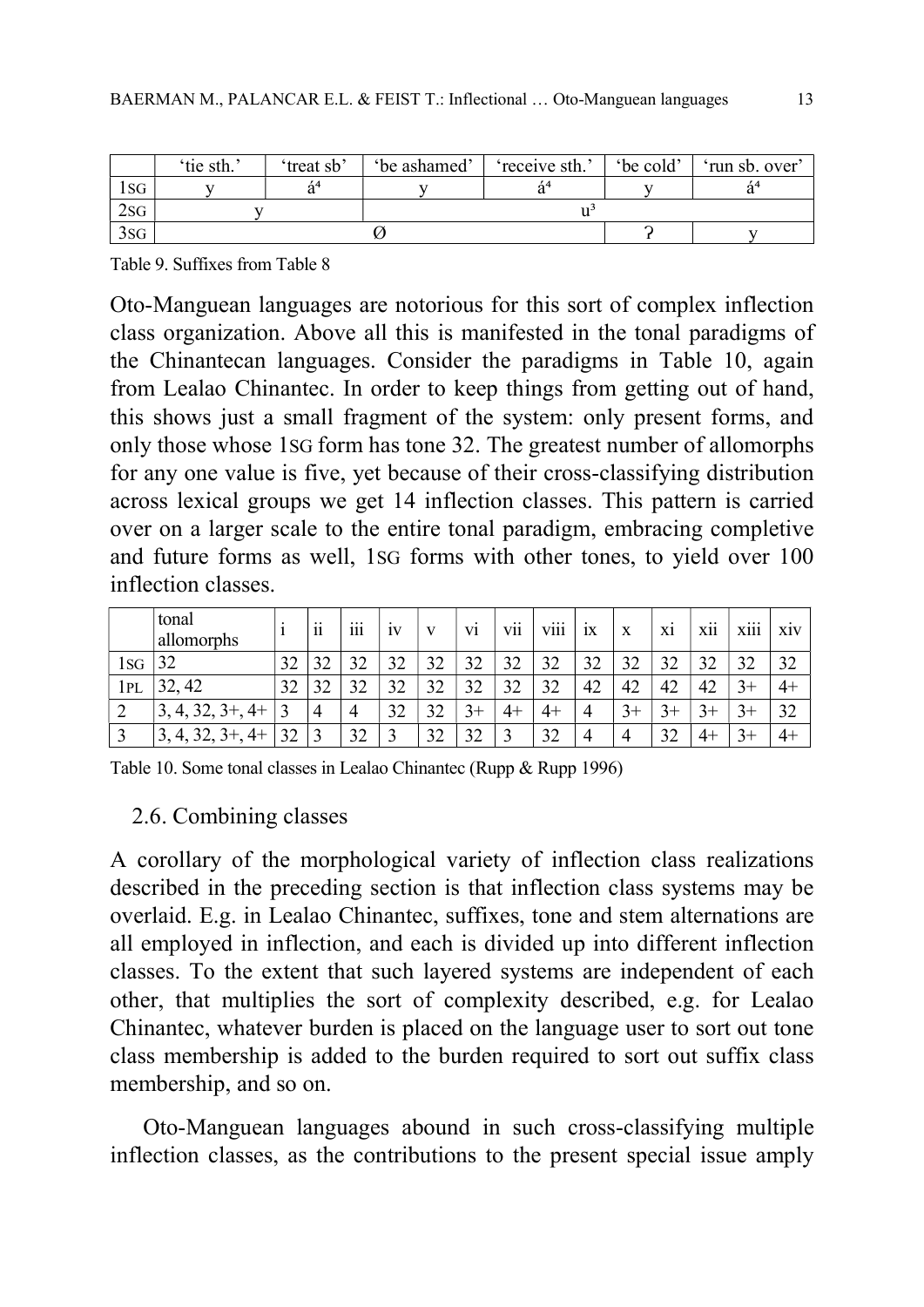|        | 'tie sth.' | 'treat sb' | 'be ashamed' | 'receive sth.' | 'be cold' | 'run sb. over' |  |
|--------|------------|------------|--------------|----------------|-----------|----------------|--|
| l SG   |            |            |              |                |           |                |  |
| $2$ sg |            |            |              |                |           |                |  |
| 3SG    |            |            |              |                |           |                |  |

Table 9. Suffixes from Table 8

Oto-Manguean languages are notorious for this sort of complex inflection class organization. Above all this is manifested in the tonal paradigms of the Chinantecan languages. Consider the paradigms in Table 10, again from Lealao Chinantec. In order to keep things from getting out of hand, this shows just a small fragment of the system: only present forms, and only those whose 1SG form has tone 32. The greatest number of allomorphs for any one value is five, yet because of their cross-classifying distribution across lexical groups we get 14 inflection classes. This pattern is carried over on a larger scale to the entire tonal paradigm, embracing completive and future forms as well, 1SG forms with other tones, to yield over 100 inflection classes.

|      | tonal<br>allomorphs                 |    | $\cdot \cdot$<br>11 | $\cdots$<br>111 | 1V | V  | V <sub>1</sub> | $\cdot \cdot$<br>V11  | $\cdots$<br><b>V111</b> | 1X | X  | X1        | $\cdots$<br><b>X11</b> | $\cdots$<br><b>X111</b> | X <sub>1</sub> V |
|------|-------------------------------------|----|---------------------|-----------------|----|----|----------------|-----------------------|-------------------------|----|----|-----------|------------------------|-------------------------|------------------|
| l SG | 32                                  | 32 | 32                  | 32              | 32 | 32 | 32             | 32<br>ىدر             | 32                      | 32 | 32 | 32        | 32                     | 32                      | 32               |
| 1pl  | 32, 42                              | 32 | 32                  | 32              | 32 | 32 | 32             | $\mathfrak{D}$<br>ىدر | 32                      | 42 | 42 | 42        | 42                     | $3+$                    | 4+               |
| ∠    | $3+, 4+$<br>4, 32,                  | 2  | 4                   | 4               | 32 | 32 | $3+$           | $4+$                  | $4+$                    |    | +ر | $3+$      | $3+$                   | $3+$                    | 32               |
|      | $3+,$<br>$.4+$<br>3,<br>т,<br>وكاتب | 32 | 3                   | 32              | ◠  | 32 | 32             | ◠                     | 32                      |    |    | 32<br>ىدر | 4+                     | $\rightarrow$           | $4+$             |

Table 10. Some tonal classes in Lealao Chinantec (Rupp & Rupp 1996)

# 2.6. Combining classes

A corollary of the morphological variety of inflection class realizations described in the preceding section is that inflection class systems may be overlaid. E.g. in Lealao Chinantec, suffixes, tone and stem alternations are all employed in inflection, and each is divided up into different inflection classes. To the extent that such layered systems are independent of each other, that multiplies the sort of complexity described, e.g. for Lealao Chinantec, whatever burden is placed on the language user to sort out tone class membership is added to the burden required to sort out suffix class membership, and so on.

Oto-Manguean languages abound in such cross-classifying multiple inflection classes, as the contributions to the present special issue amply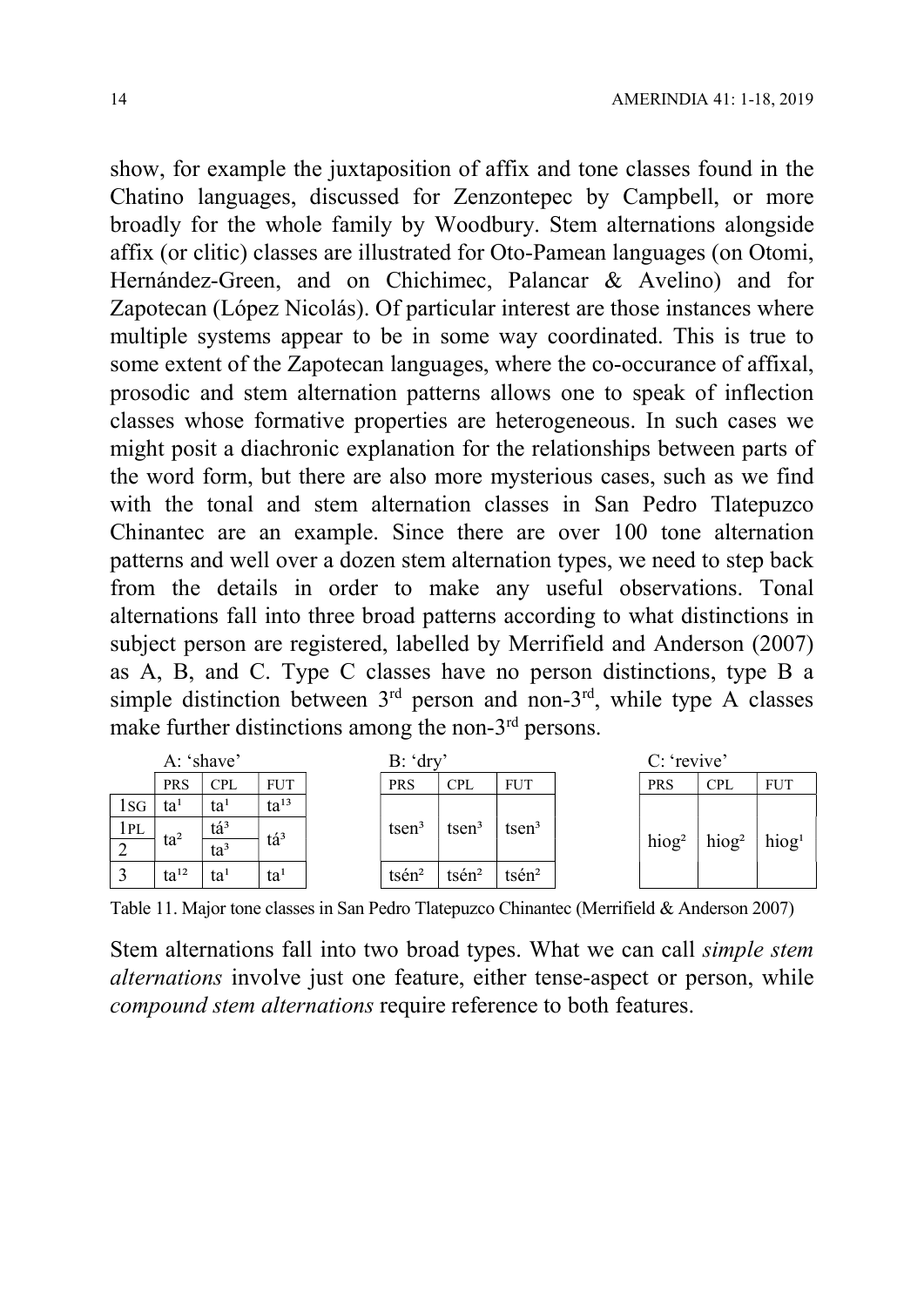show, for example the juxtaposition of affix and tone classes found in the Chatino languages, discussed for Zenzontepec by Campbell, or more broadly for the whole family by Woodbury. Stem alternations alongside affix (or clitic) classes are illustrated for Oto-Pamean languages (on Otomi, Hernández-Green, and on Chichimec, Palancar & Avelino) and for Zapotecan (López Nicolás). Of particular interest are those instances where multiple systems appear to be in some way coordinated. This is true to some extent of the Zapotecan languages, where the co-occurance of affixal, prosodic and stem alternation patterns allows one to speak of inflection classes whose formative properties are heterogeneous. In such cases we might posit a diachronic explanation for the relationships between parts of the word form, but there are also more mysterious cases, such as we find with the tonal and stem alternation classes in San Pedro Tlatepuzco Chinantec are an example. Since there are over 100 tone alternation patterns and well over a dozen stem alternation types, we need to step back from the details in order to make any useful observations. Tonal alternations fall into three broad patterns according to what distinctions in subject person are registered, labelled by Merrifield and Anderson (2007) as A, B, and C. Type C classes have no person distinctions, type B a simple distinction between  $3^{rd}$  person and non- $3^{rd}$ , while type A classes make further distinctions among the non-3<sup>rd</sup> persons.

|     | A: 'shave' |                         |                 | B: 'dry |              |                   |             | C: 'revive'       |                   |                      |  |
|-----|------------|-------------------------|-----------------|---------|--------------|-------------------|-------------|-------------------|-------------------|----------------------|--|
|     | <b>PRS</b> | <b>CPL</b>              | <b>FUT</b>      |         | <b>PRS</b>   | <b>CPL</b>        | <b>FUT</b>  | <b>PRS</b>        | <b>CPL</b>        | <b>FUT</b>           |  |
| 1sg | $ta^1$     | ta <sup>1</sup>         | $ta^{13}$       |         |              |                   |             |                   |                   |                      |  |
| 1PL |            | $\mathrm{t\acute{a}}^3$ |                 |         | $t$ sen $3$  | $t$ sen $3$       | $t$ sen $3$ |                   |                   |                      |  |
|     | $ta^2$     | $ta^3$                  | tá <sup>3</sup> |         |              |                   |             | hiog <sup>2</sup> | hiog <sup>2</sup> | $h$ iog <sup>1</sup> |  |
|     | $ta^{12}$  | ta <sup>1</sup>         | ta <sup>1</sup> |         | $t$ sé $n^2$ | tsén <sup>2</sup> | $t$ sén $2$ |                   |                   |                      |  |

Table 11. Major tone classes in San Pedro Tlatepuzco Chinantec (Merrifield & Anderson 2007)

Stem alternations fall into two broad types. What we can call simple stem alternations involve just one feature, either tense-aspect or person, while compound stem alternations require reference to both features.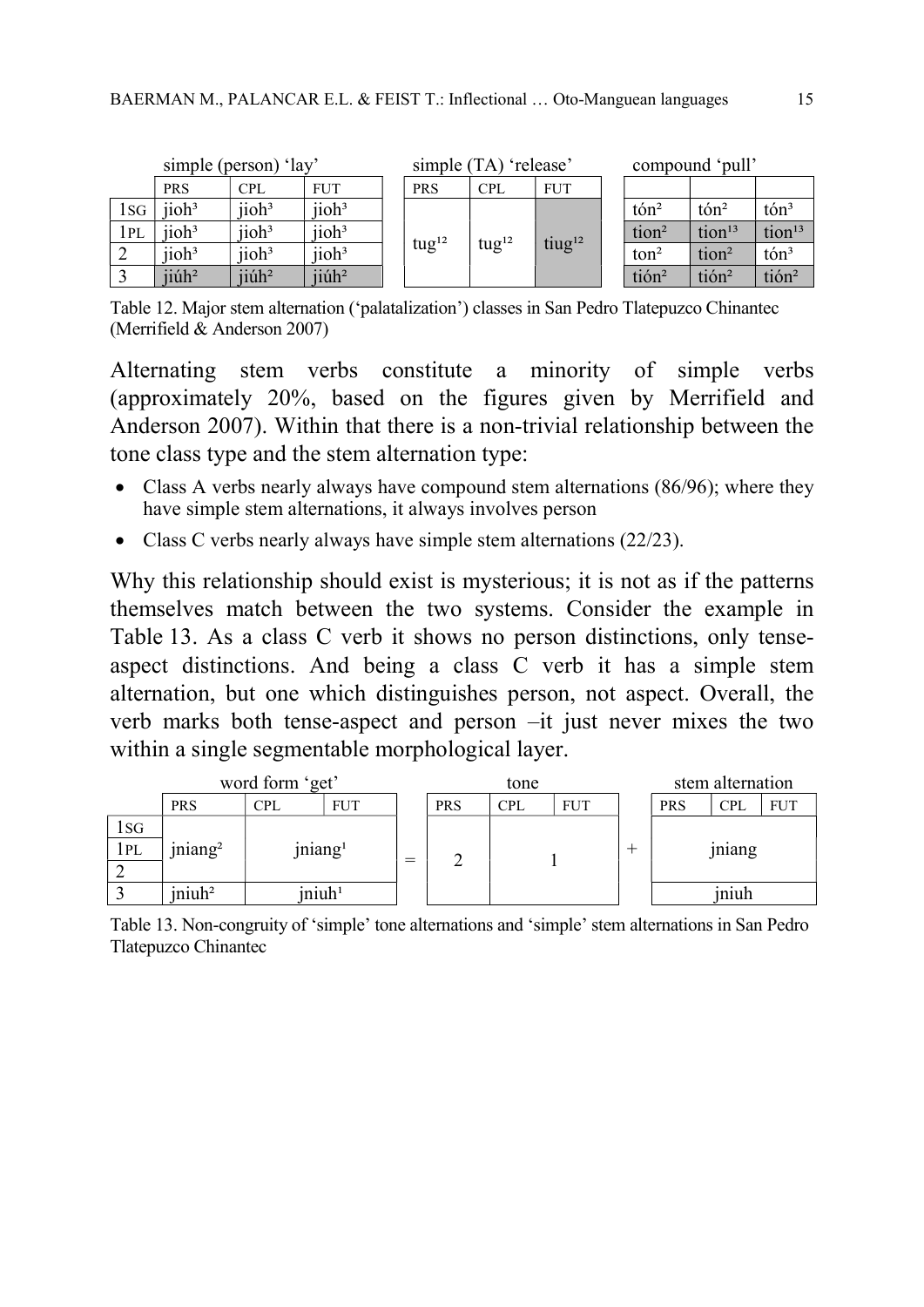|      | simple (person) 'lay' |                   |                      |  | simple (TA) 'release' |                   |                    |  | compound 'pull'             |                     |                    |  |
|------|-----------------------|-------------------|----------------------|--|-----------------------|-------------------|--------------------|--|-----------------------------|---------------------|--------------------|--|
|      | <b>PRS</b>            | <b>CPL</b>        | <b>FUT</b>           |  | <b>PRS</b>            | <b>CPL</b>        | <b>FUT</b>         |  |                             |                     |                    |  |
| l sg | $i$ ioh <sup>3</sup>  | jioh <sup>3</sup> | $\text{iioh}^3$      |  | tug <sup>12</sup>     | tug <sup>12</sup> | tiug <sup>12</sup> |  | $\rm{t} \acute{\rm{o}} n^2$ | $t$ ón <sup>2</sup> | $\[\text{ton}^3\]$ |  |
| 1pl  | $i$ ioh <sup>3</sup>  | jioh <sup>3</sup> | jioh <sup>3</sup>    |  |                       |                   |                    |  | tion <sup>2</sup>           | tion <sup>13</sup>  | tion <sup>13</sup> |  |
| ∠    | $i$ ioh <sup>3</sup>  | jioh <sup>3</sup> | jioh <sup>3</sup>    |  |                       |                   |                    |  | ton <sup>2</sup>            | tion <sup>2</sup>   | $\[\text{ton}^3\]$ |  |
|      | $ii$ ú $h2$           | jiúh <sup>2</sup> | $i$ iúh <sup>2</sup> |  |                       |                   |                    |  | tión <sup>2</sup>           | tión <sup>2</sup>   | tión <sup>2</sup>  |  |

Table 12. Major stem alternation ('palatalization') classes in San Pedro Tlatepuzco Chinantec (Merrifield & Anderson 2007)

Alternating stem verbs constitute a minority of simple verbs (approximately 20%, based on the figures given by Merrifield and Anderson 2007). Within that there is a non-trivial relationship between the tone class type and the stem alternation type:

- Class A verbs nearly always have compound stem alternations (86/96); where they have simple stem alternations, it always involves person
- Class C verbs nearly always have simple stem alternations (22/23).

Why this relationship should exist is mysterious; it is not as if the patterns themselves match between the two systems. Consider the example in Table 13. As a class C verb it shows no person distinctions, only tenseaspect distinctions. And being a class C verb it has a simple stem alternation, but one which distinguishes person, not aspect. Overall, the verb marks both tense-aspect and person –it just never mixes the two within a single segmentable morphological layer.



Table 13. Non-congruity of 'simple' tone alternations and 'simple' stem alternations in San Pedro Tlatepuzco Chinantec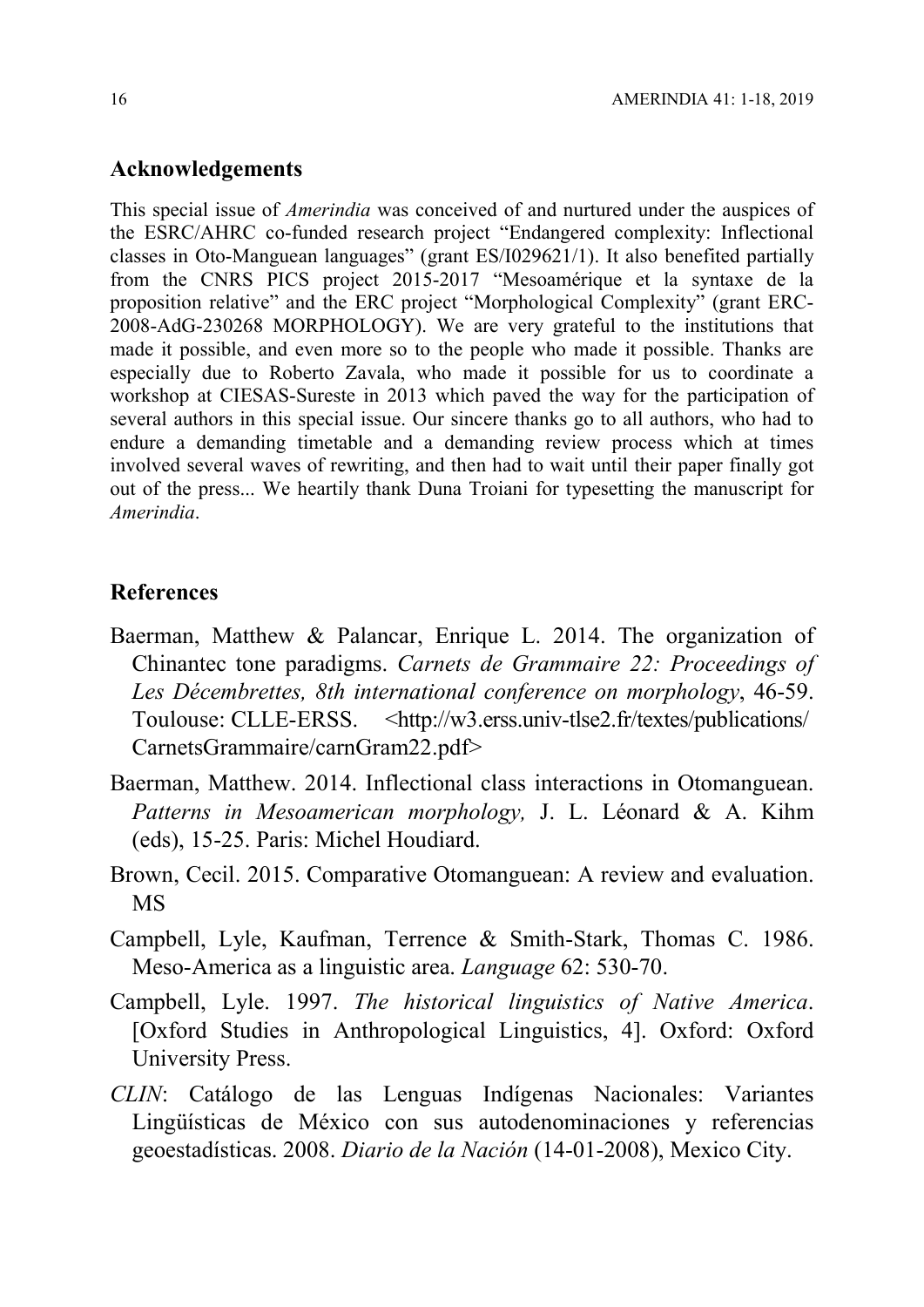### Acknowledgements

This special issue of Amerindia was conceived of and nurtured under the auspices of the ESRC/AHRC co-funded research project "Endangered complexity: Inflectional classes in Oto-Manguean languages" (grant ES/I029621/1). It also benefited partially from the CNRS PICS project 2015-2017 "Mesoamérique et la syntaxe de la proposition relative" and the ERC project "Morphological Complexity" (grant ERC-2008-AdG-230268 MORPHOLOGY). We are very grateful to the institutions that made it possible, and even more so to the people who made it possible. Thanks are especially due to Roberto Zavala, who made it possible for us to coordinate a workshop at CIESAS-Sureste in 2013 which paved the way for the participation of several authors in this special issue. Our sincere thanks go to all authors, who had to endure a demanding timetable and a demanding review process which at times involved several waves of rewriting, and then had to wait until their paper finally got out of the press... We heartily thank Duna Troiani for typesetting the manuscript for Amerindia.

#### References

- Baerman, Matthew & Palancar, Enrique L. 2014. The organization of Chinantec tone paradigms. Carnets de Grammaire 22: Proceedings of Les Décembrettes, 8th international conference on morphology, 46-59. Toulouse: CLLE-ERSS. <http://w3.erss.univ-tlse2.fr/textes/publications/ CarnetsGrammaire/carnGram22.pdf>
- Baerman, Matthew. 2014. Inflectional class interactions in Otomanguean. Patterns in Mesoamerican morphology, J. L. Léonard & A. Kihm (eds), 15-25. Paris: Michel Houdiard.
- Brown, Cecil. 2015. Comparative Otomanguean: A review and evaluation. MS
- Campbell, Lyle, Kaufman, Terrence & Smith-Stark, Thomas C. 1986. Meso-America as a linguistic area. Language 62: 530-70.
- Campbell, Lyle. 1997. The historical linguistics of Native America. [Oxford Studies in Anthropological Linguistics, 4]. Oxford: Oxford University Press.
- CLIN: Catálogo de las Lenguas Indígenas Nacionales: Variantes Lingüísticas de México con sus autodenominaciones y referencias geoestadísticas. 2008. Diario de la Nación (14-01-2008), Mexico City.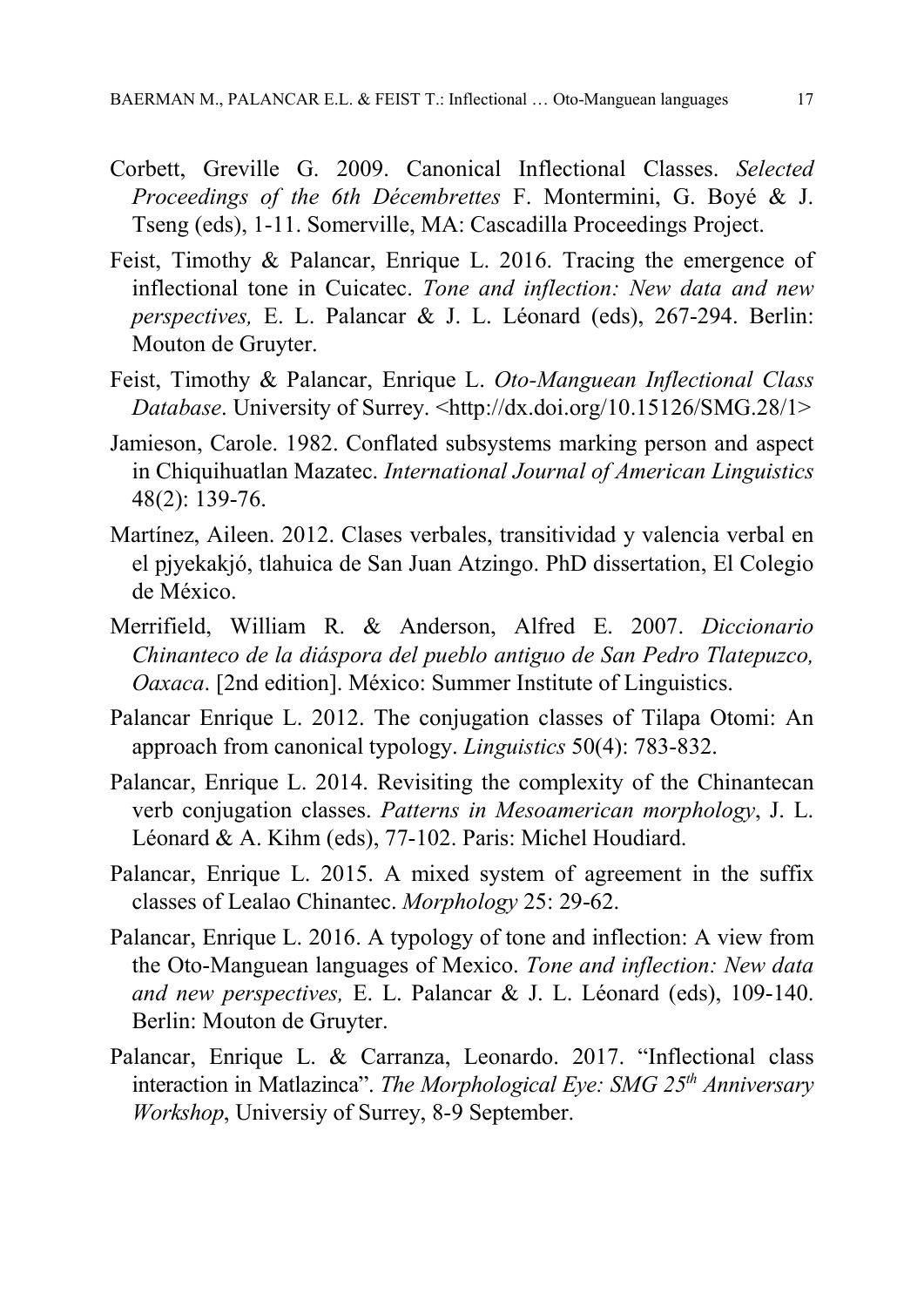- Corbett, Greville G. 2009. Canonical Inflectional Classes. Selected Proceedings of the 6th Décembrettes F. Montermini, G. Boyé & J. Tseng (eds), 1-11. Somerville, MA: Cascadilla Proceedings Project.
- Feist, Timothy & Palancar, Enrique L. 2016. Tracing the emergence of inflectional tone in Cuicatec. Tone and inflection: New data and new perspectives, E. L. Palancar & J. L. Léonard (eds), 267-294. Berlin: Mouton de Gruyter.
- Feist, Timothy & Palancar, Enrique L. Oto-Manguean Inflectional Class Database. University of Surrey. <http://dx.doi.org/10.15126/SMG.28/1>
- Jamieson, Carole. 1982. Conflated subsystems marking person and aspect in Chiquihuatlan Mazatec. International Journal of American Linguistics 48(2): 139-76.
- Martínez, Aileen. 2012. Clases verbales, transitividad y valencia verbal en el pjyekakjó, tlahuica de San Juan Atzingo. PhD dissertation, El Colegio de México.
- Merrifield, William R. & Anderson, Alfred E. 2007. Diccionario Chinanteco de la diáspora del pueblo antiguo de San Pedro Tlatepuzco, Oaxaca. [2nd edition]. México: Summer Institute of Linguistics.
- Palancar Enrique L. 2012. The conjugation classes of Tilapa Otomi: An approach from canonical typology. Linguistics 50(4): 783-832.
- Palancar, Enrique L. 2014. Revisiting the complexity of the Chinantecan verb conjugation classes. Patterns in Mesoamerican morphology, J. L. Léonard & A. Kihm (eds), 77-102. Paris: Michel Houdiard.
- Palancar, Enrique L. 2015. A mixed system of agreement in the suffix classes of Lealao Chinantec. Morphology 25: 29-62.
- Palancar, Enrique L. 2016. A typology of tone and inflection: A view from the Oto-Manguean languages of Mexico. Tone and inflection: New data and new perspectives, E. L. Palancar & J. L. Léonard (eds), 109-140. Berlin: Mouton de Gruyter.
- Palancar, Enrique L. & Carranza, Leonardo. 2017. "Inflectional class interaction in Matlazinca". The Morphological Eye: SMG  $25<sup>th</sup>$  Anniversary Workshop, Universiy of Surrey, 8-9 September.